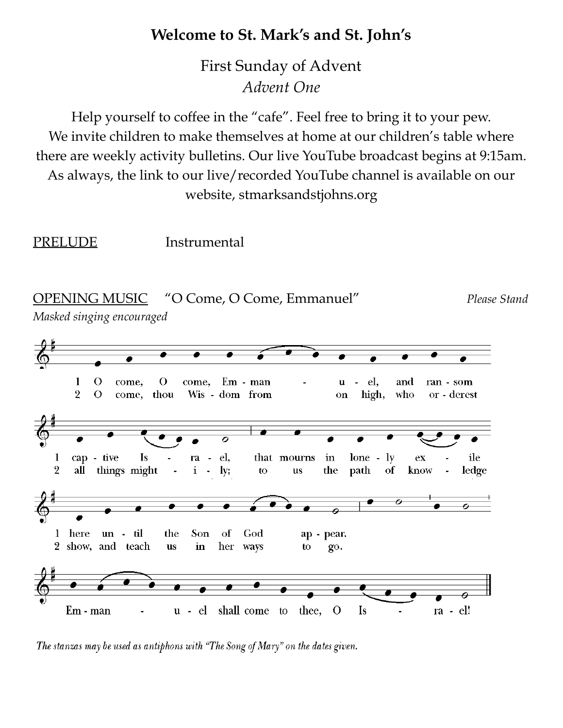## **Welcome to St. Mark's and St. John's**

First Sunday of Advent *Advent One*

Help yourself to coffee in the "cafe". Feel free to bring it to your pew. We invite children to make themselves at home at our children's table where there are weekly activity bulletins. Our live YouTube broadcast begins at 9:15am. As always, the link to our live/recorded YouTube channel is available on our website, stmarksandstjohns.org

PRELUDE Instrumental



The stanzas may be used as antiphons with "The Song of Mary" on the dates given.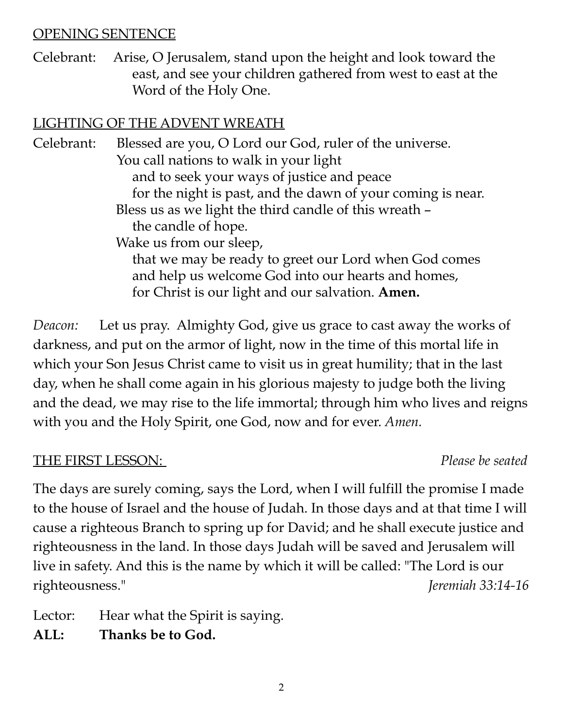#### OPENING SENTENCE

Celebrant: Arise, O Jerusalem, stand upon the height and look toward the east, and see your children gathered from west to east at the Word of the Holy One.

#### LIGHTING OF THE ADVENT WREATH

Celebrant: Blessed are you, O Lord our God, ruler of the universe. You call nations to walk in your light and to seek your ways of justice and peace for the night is past, and the dawn of your coming is near. Bless us as we light the third candle of this wreath – the candle of hope. Wake us from our sleep, that we may be ready to greet our Lord when God comes and help us welcome God into our hearts and homes, for Christ is our light and our salvation. **Amen.**

*Deacon:* Let us pray. Almighty God, give us grace to cast away the works of darkness, and put on the armor of light, now in the time of this mortal life in which your Son Jesus Christ came to visit us in great humility; that in the last day, when he shall come again in his glorious majesty to judge both the living and the dead, we may rise to the life immortal; through him who lives and reigns with you and the Holy Spirit, one God, now and for ever. *Amen.*

#### THE FIRST LESSON: *Please be seated*

The days are surely coming, says the Lord, when I will fulfill the promise I made to the house of Israel and the house of Judah. In those days and at that time I will cause a righteous Branch to spring up for David; and he shall execute justice and righteousness in the land. In those days Judah will be saved and Jerusalem will live in safety. And this is the name by which it will be called: "The Lord is our righteousness." *Jeremiah 33:14-16*

Lector: Hear what the Spirit is saying.

**ALL: Thanks be to God.**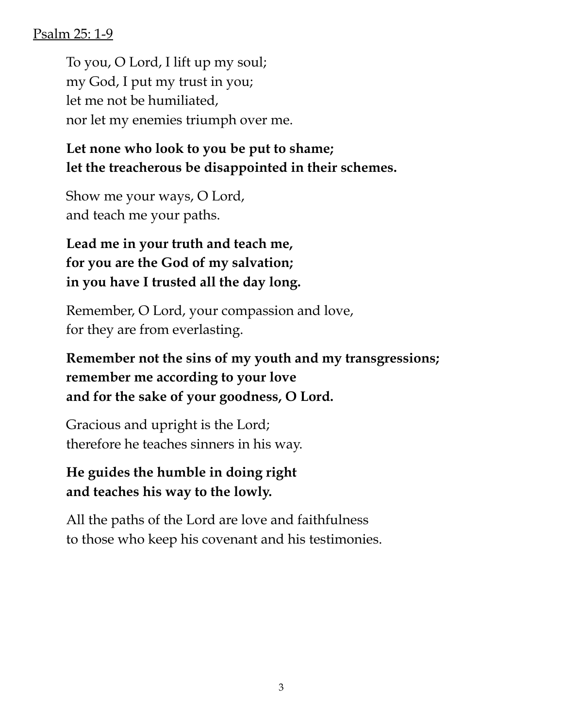#### Psalm 25: 1-9

To you, O Lord, I lift up my soul; my God, I put my trust in you; let me not be humiliated, nor let my enemies triumph over me.

# **Let none who look to you be put to shame; let the treacherous be disappointed in their schemes.**

Show me your ways, O Lord, and teach me your paths.

# **Lead me in your truth and teach me, for you are the God of my salvation; in you have I trusted all the day long.**

Remember, O Lord, your compassion and love, for they are from everlasting.

# **Remember not the sins of my youth and my transgressions; remember me according to your love and for the sake of your goodness, O Lord.**

Gracious and upright is the Lord; therefore he teaches sinners in his way.

# **He guides the humble in doing right and teaches his way to the lowly.**

All the paths of the Lord are love and faithfulness to those who keep his covenant and his testimonies.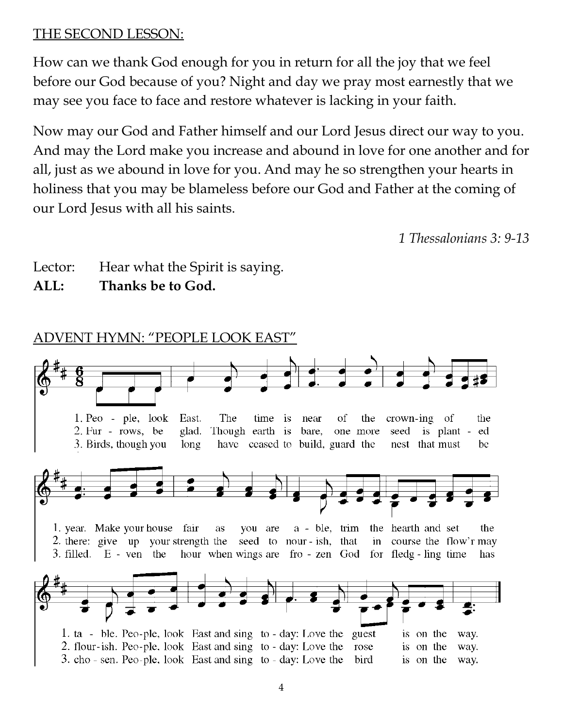#### THE SECOND LESSON:

How can we thank God enough for you in return for all the joy that we feel before our God because of you? Night and day we pray most earnestly that we may see you face to face and restore whatever is lacking in your faith.

Now may our God and Father himself and our Lord Jesus direct our way to you. And may the Lord make you increase and abound in love for one another and for all, just as we abound in love for you. And may he so strengthen your hearts in holiness that you may be blameless before our God and Father at the coming of our Lord Jesus with all his saints.

*1 Thessalonians 3: 9-13*

- Lector: Hear what the Spirit is saying.
- **ALL: Thanks be to God.**

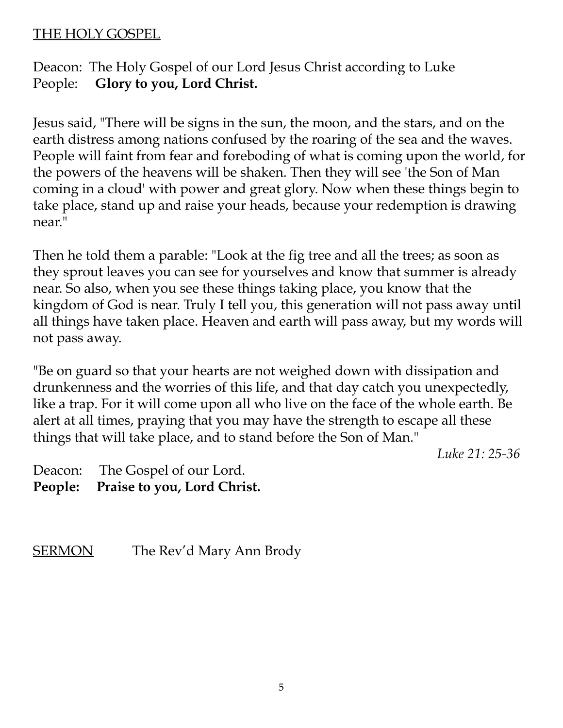#### THE HOLY GOSPEL

Deacon: The Holy Gospel of our Lord Jesus Christ according to Luke People: **Glory to you, Lord Christ.**

Jesus said, "There will be signs in the sun, the moon, and the stars, and on the earth distress among nations confused by the roaring of the sea and the waves. People will faint from fear and foreboding of what is coming upon the world, for the powers of the heavens will be shaken. Then they will see 'the Son of Man coming in a cloud' with power and great glory. Now when these things begin to take place, stand up and raise your heads, because your redemption is drawing near."

Then he told them a parable: "Look at the fig tree and all the trees; as soon as they sprout leaves you can see for yourselves and know that summer is already near. So also, when you see these things taking place, you know that the kingdom of God is near. Truly I tell you, this generation will not pass away until all things have taken place. Heaven and earth will pass away, but my words will not pass away.

"Be on guard so that your hearts are not weighed down with dissipation and drunkenness and the worries of this life, and that day catch you unexpectedly, like a trap. For it will come upon all who live on the face of the whole earth. Be alert at all times, praying that you may have the strength to escape all these things that will take place, and to stand before the Son of Man."

*Luke 21: 25-36*

- Deacon: The Gospel of our Lord.
- **People: Praise to you, Lord Christ.**

SERMON The Rev'd Mary Ann Brody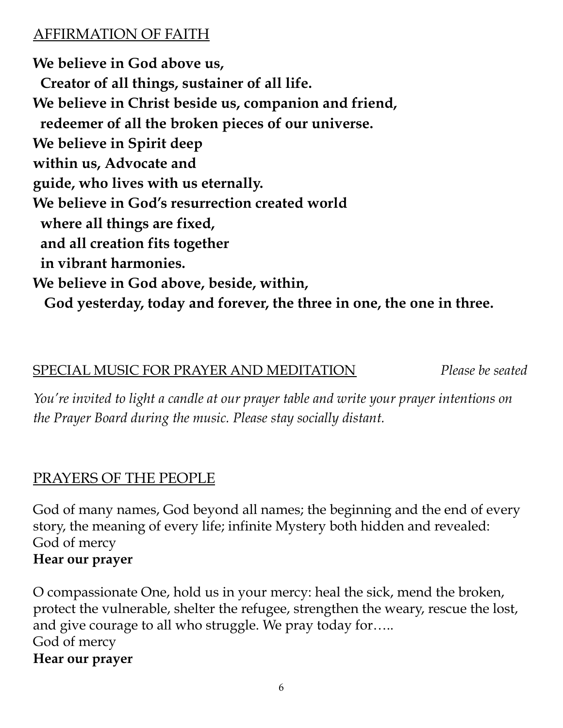## AFFIRMATION OF FAITH

**We believe in God above us, Creator of all things, sustainer of all life. We believe in Christ beside us, companion and friend, redeemer of all the broken pieces of our universe. We believe in Spirit deep within us, Advocate and guide, who lives with us eternally. We believe in God's resurrection created world where all things are fixed, and all creation fits together in vibrant harmonies. We believe in God above, beside, within, God yesterday, today and forever, the three in one, the one in three.**

#### SPECIAL MUSIC FOR PRAYER AND MEDITATION *Please be seated*

*You're invited to light a candle at our prayer table and write your prayer intentions on the Prayer Board during the music. Please stay socially distant.*

#### PRAYERS OF THE PEOPLE

God of many names, God beyond all names; the beginning and the end of every story, the meaning of every life; infinite Mystery both hidden and revealed: God of mercy **Hear our prayer**

O compassionate One, hold us in your mercy: heal the sick, mend the broken, protect the vulnerable, shelter the refugee, strengthen the weary, rescue the lost, and give courage to all who struggle. We pray today for….. God of mercy **Hear our prayer**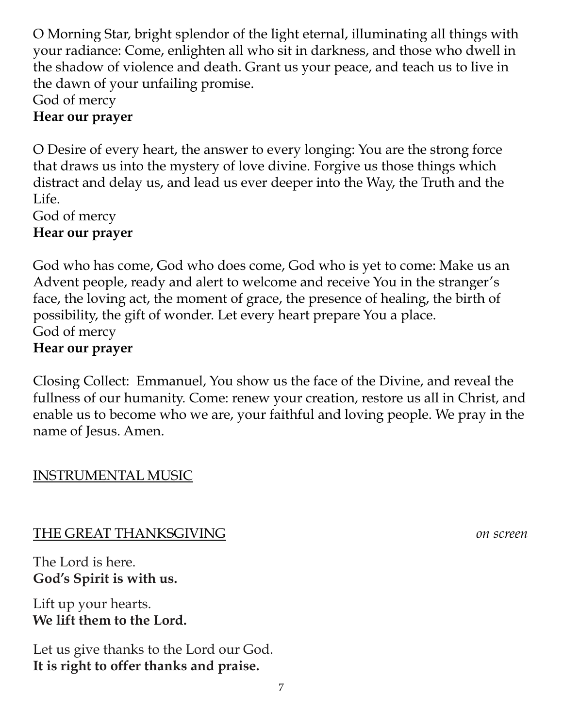O Morning Star, bright splendor of the light eternal, illuminating all things with your radiance: Come, enlighten all who sit in darkness, and those who dwell in the shadow of violence and death. Grant us your peace, and teach us to live in the dawn of your unfailing promise.

God of mercy

#### **Hear our prayer**

O Desire of every heart, the answer to every longing: You are the strong force that draws us into the mystery of love divine. Forgive us those things which distract and delay us, and lead us ever deeper into the Way, the Truth and the Life.

God of mercy

#### **Hear our prayer**

God who has come, God who does come, God who is yet to come: Make us an Advent people, ready and alert to welcome and receive You in the stranger's face, the loving act, the moment of grace, the presence of healing, the birth of possibility, the gift of wonder. Let every heart prepare You a place. God of mercy **Hear our prayer**

Closing Collect: Emmanuel, You show us the face of the Divine, and reveal the fullness of our humanity. Come: renew your creation, restore us all in Christ, and enable us to become who we are, your faithful and loving people. We pray in the name of Jesus. Amen.

## INSTRUMENTAL MUSIC

## THE GREAT THANKSGIVING *on screen*

The Lord is here. **God's Spirit is with us.**

Lift up your hearts. **We lift them to the Lord.**

Let us give thanks to the Lord our God. **It is right to offer thanks and praise.**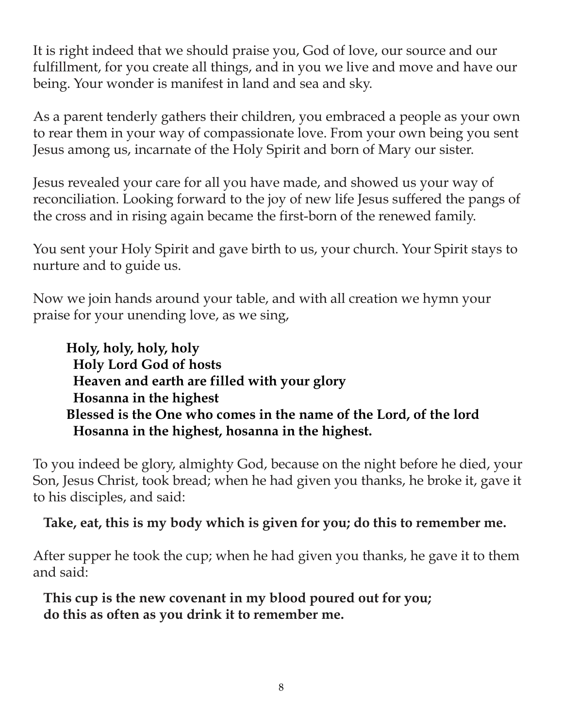It is right indeed that we should praise you, God of love, our source and our fulfillment, for you create all things, and in you we live and move and have our being. Your wonder is manifest in land and sea and sky.

As a parent tenderly gathers their children, you embraced a people as your own to rear them in your way of compassionate love. From your own being you sent Jesus among us, incarnate of the Holy Spirit and born of Mary our sister.

Jesus revealed your care for all you have made, and showed us your way of reconciliation. Looking forward to the joy of new life Jesus suffered the pangs of the cross and in rising again became the first-born of the renewed family.

You sent your Holy Spirit and gave birth to us, your church. Your Spirit stays to nurture and to guide us.

Now we join hands around your table, and with all creation we hymn your praise for your unending love, as we sing,

**Holy, holy, holy, holy Holy Lord God of hosts Heaven and earth are filled with your glory Hosanna in the highest Blessed is the One who comes in the name of the Lord, of the lord Hosanna in the highest, hosanna in the highest.**

To you indeed be glory, almighty God, because on the night before he died, your Son, Jesus Christ, took bread; when he had given you thanks, he broke it, gave it to his disciples, and said:

#### **Take, eat, this is my body which is given for you; do this to remember me.**

After supper he took the cup; when he had given you thanks, he gave it to them and said:

**This cup is the new covenant in my blood poured out for you; do this as often as you drink it to remember me.**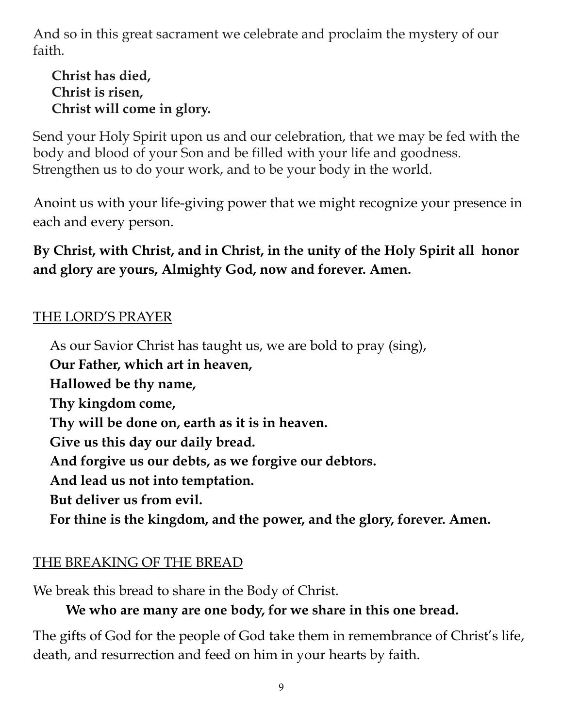And so in this great sacrament we celebrate and proclaim the mystery of our faith.

**Christ has died, Christ is risen, Christ will come in glory.**

Send your Holy Spirit upon us and our celebration, that we may be fed with the body and blood of your Son and be filled with your life and goodness. Strengthen us to do your work, and to be your body in the world.

Anoint us with your life-giving power that we might recognize your presence in each and every person.

**By Christ, with Christ, and in Christ, in the unity of the Holy Spirit all honor and glory are yours, Almighty God, now and forever. Amen.**

#### THE LORD'S PRAYER

As our Savior Christ has taught us, we are bold to pray (sing), **Our Father, which art in heaven, Hallowed be thy name, Thy kingdom come, Thy will be done on, earth as it is in heaven. Give us this day our daily bread. And forgive us our debts, as we forgive our debtors. And lead us not into temptation. But deliver us from evil. For thine is the kingdom, and the power, and the glory, forever. Amen.**

## THE BREAKING OF THE BREAD

We break this bread to share in the Body of Christ.

# **We who are many are one body, for we share in this one bread.**

The gifts of God for the people of God take them in remembrance of Christ's life, death, and resurrection and feed on him in your hearts by faith.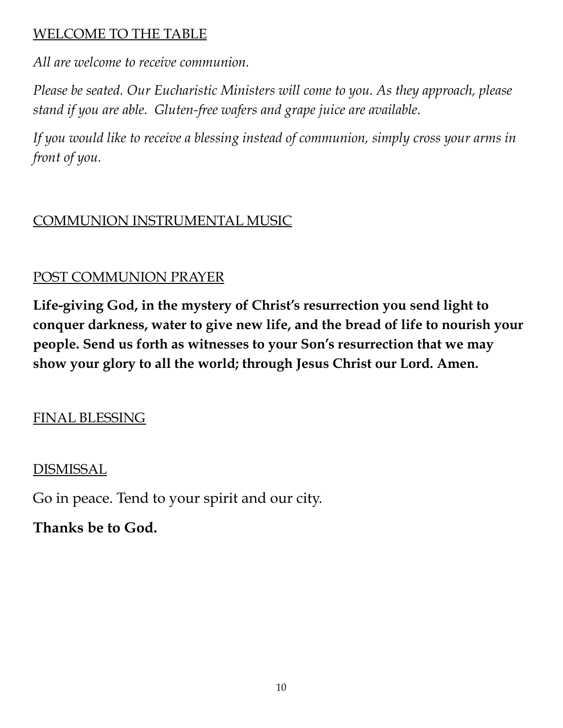#### WELCOME TO THE TABLE

*All are welcome to receive communion.*

*Please be seated. Our Eucharistic Ministers will come to you. As they approach, please stand if you are able. Gluten-free wafers and grape juice are available.*

*If you would like to receive a blessing instead of communion, simply cross your arms in front of you.*

# COMMUNION INSTRUMENTAL MUSIC

# POST COMMUNION PRAYER

**Life-giving God, in the mystery of Christ's resurrection you send light to conquer darkness, water to give new life, and the bread of life to nourish your people. Send us forth as witnesses to your Son's resurrection that we may show your glory to all the world; through Jesus Christ our Lord. Amen.**

# FINAL BLESSING

# DISMISSAL

Go in peace. Tend to your spirit and our city.

# **Thanks be to God.**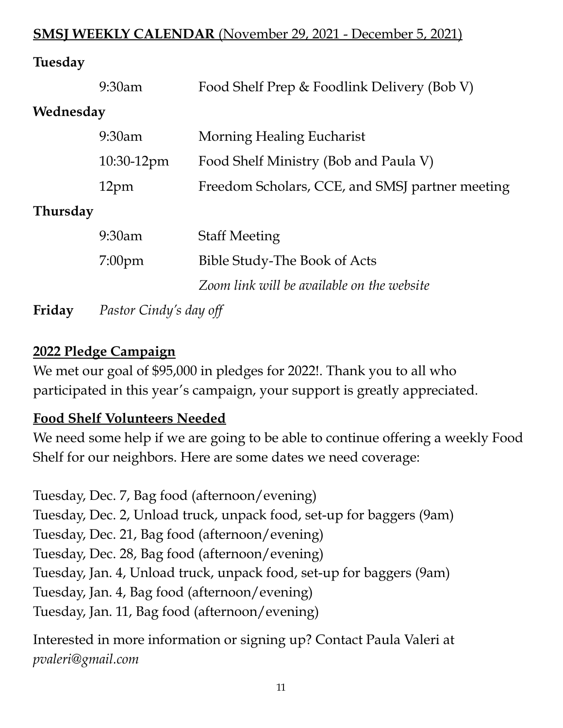## **SMSJ WEEKLY CALENDAR** (November 29, 2021 - December 5, 2021)

#### **Tuesday**

|                 | 9:30am                 | Food Shelf Prep & Foodlink Delivery (Bob V)     |  |  |  |  |  |
|-----------------|------------------------|-------------------------------------------------|--|--|--|--|--|
| Wednesday       |                        |                                                 |  |  |  |  |  |
|                 | 9:30am                 | Morning Healing Eucharist                       |  |  |  |  |  |
|                 | 10:30-12pm             | Food Shelf Ministry (Bob and Paula V)           |  |  |  |  |  |
|                 | 12 <sub>pm</sub>       | Freedom Scholars, CCE, and SMSJ partner meeting |  |  |  |  |  |
| <b>Thursday</b> |                        |                                                 |  |  |  |  |  |
|                 | 9:30am                 | <b>Staff Meeting</b>                            |  |  |  |  |  |
|                 | $7:00$ pm              | <b>Bible Study-The Book of Acts</b>             |  |  |  |  |  |
|                 |                        | Zoom link will be available on the website      |  |  |  |  |  |
| Friday          | Pastor Cindy's day off |                                                 |  |  |  |  |  |

#### **2022 Pledge Campaign**

We met our goal of \$95,000 in pledges for 2022!. Thank you to all who participated in this year's campaign, your support is greatly appreciated.

## **Food Shelf Volunteers Needed**

We need some help if we are going to be able to continue offering a weekly Food Shelf for our neighbors. Here are some dates we need coverage:

Tuesday, Dec. 7, Bag food (afternoon/evening) Tuesday, Dec. 2, Unload truck, unpack food, set-up for baggers (9am) Tuesday, Dec. 21, Bag food (afternoon/evening) Tuesday, Dec. 28, Bag food (afternoon/evening) Tuesday, Jan. 4, Unload truck, unpack food, set-up for baggers (9am) Tuesday, Jan. 4, Bag food (afternoon/evening) Tuesday, Jan. 11, Bag food (afternoon/evening)

Interested in more information or signing up? Contact Paula Valeri at *pvaleri@gmail.com*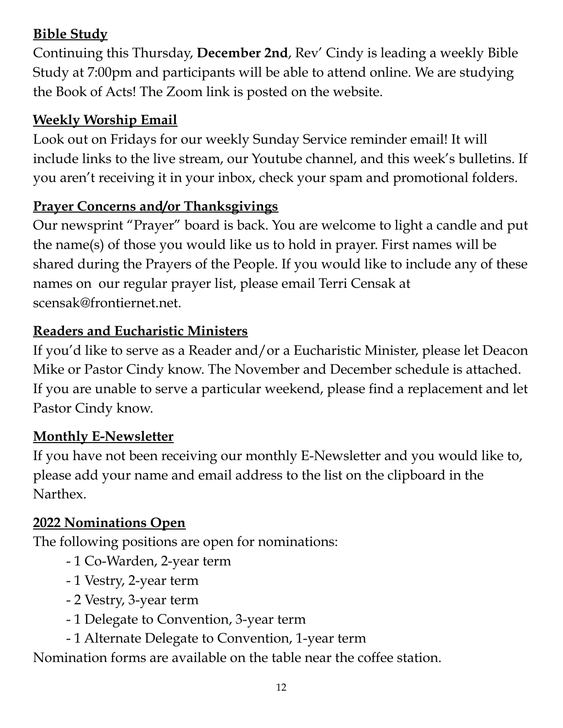# **Bible Study**

Continuing this Thursday, **December 2nd**, Rev' Cindy is leading a weekly Bible Study at 7:00pm and participants will be able to attend online. We are studying the Book of Acts! The Zoom link is posted on the website.

# **Weekly Worship Email**

Look out on Fridays for our weekly Sunday Service reminder email! It will include links to the live stream, our Youtube channel, and this week's bulletins. If you aren't receiving it in your inbox, check your spam and promotional folders.

## **Prayer Concerns and/or Thanksgivings**

Our newsprint "Prayer" board is back. You are welcome to light a candle and put the name(s) of those you would like us to hold in prayer. First names will be shared during the Prayers of the People. If you would like to include any of these names on our regular prayer list, please email Terri Censak at scensak@frontiernet.net.

# **Readers and Eucharistic Ministers**

If you'd like to serve as a Reader and/or a Eucharistic Minister, please let Deacon Mike or Pastor Cindy know. The November and December schedule is attached. If you are unable to serve a particular weekend, please find a replacement and let Pastor Cindy know.

## **Monthly E-Newsletter**

If you have not been receiving our monthly E-Newsletter and you would like to, please add your name and email address to the list on the clipboard in the Narthex.

# **2022 Nominations Open**

The following positions are open for nominations:

- 1 Co-Warden, 2-year term
- 1 Vestry, 2-year term
- 2 Vestry, 3-year term
- 1 Delegate to Convention, 3-year term
- 1 Alternate Delegate to Convention, 1-year term

Nomination forms are available on the table near the coffee station.